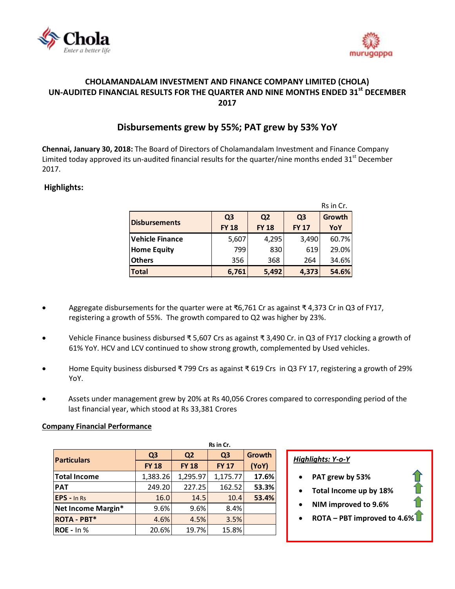



## **CHOLAMANDALAM INVESTMENT AND FINANCE COMPANY LIMITED (CHOLA) UN-AUDITED FINANCIAL RESULTS FOR THE QUARTER AND NINE MONTHS ENDED 31st DECEMBER 2017**

# **Disbursements grew by 55%; PAT grew by 53% YoY**

**Chennai, January 30, 2018:** The Board of Directors o[f Cholamandalam Investment and Finance Company](http://www.cholamandalam.com/)  [Limited](http://www.cholamandalam.com/) today approved its un-audited financial results for the quarter/nine months ended  $31<sup>st</sup>$  December 2017.

### **Highlights:**

|                        |                | Rs in Cr.      |                |        |  |  |
|------------------------|----------------|----------------|----------------|--------|--|--|
| <b>Disbursements</b>   | Q <sub>3</sub> | Q <sub>2</sub> | Q <sub>3</sub> | Growth |  |  |
|                        | <b>FY 18</b>   | <b>FY 18</b>   |                | YoY    |  |  |
| <b>Vehicle Finance</b> | 5,607          | 4,295          | 3,490          | 60.7%  |  |  |
| <b>Home Equity</b>     | 799            | 830            | 619            | 29.0%  |  |  |
| <b>Others</b>          | 356            | 368            | 264            | 34.6%  |  |  |
| <b>Total</b>           | 6,761          | 5,492          | 4,373          | 54.6%  |  |  |

- Aggregate disbursements for the quarter were at ₹6,761 Cr as against ₹ 4,373 Cr in Q3 of FY17, registering a growth of 55%. The growth compared to Q2 was higher by 23%.
- Vehicle Finance business disbursed ₹ 5,607 Crs as against ₹ 3,490 Cr. in Q3 of FY17 clocking a growth of 61% YoY. HCV and LCV continued to show strong growth, complemented by Used vehicles.
- Home Equity business disbursed ₹ 799 Crs as against ₹ 619 Crs in Q3 FY 17, registering a growth of 29% YoY.
- Assets under management grew by 20% at Rs 40,056 Crores compared to corresponding period of the last financial year, which stood at Rs 33,381 Crores

#### **Company Financial Performance**

|                    | Rs in Cr.                    |                |              |        |  |  |
|--------------------|------------------------------|----------------|--------------|--------|--|--|
| <b>Particulars</b> | Q <sub>3</sub>               | Q <sub>2</sub> |              | Growth |  |  |
|                    | <b>FY 18</b><br><b>FY 18</b> |                | <b>FY 17</b> | (YoY)  |  |  |
| Total Income       | 1,383.26                     | 1,295.97       | 1,175.77     | 17.6%  |  |  |
| <b>PAT</b>         | 249.20                       | 227.25         | 162.52       | 53.3%  |  |  |
| <b>EPS</b> - In Rs | 16.0                         | 14.5           | 10.4         | 53.4%  |  |  |
| Net Income Margin* | 9.6%                         | 9.6%           | 8.4%         |        |  |  |
| <b>ROTA - PBT*</b> | 4.6%                         | 4.5%           | 3.5%         |        |  |  |
| $ROE - In %$       | 20.6%                        | 19.7%          | 15.8%        |        |  |  |

#### *Highlights: Y-o-Y*

- **PAT grew by 53%**
- **Total Income up by 18%**
- **NIM improved to 9.6%**
- **ROTA – PBT improved to 4.6%**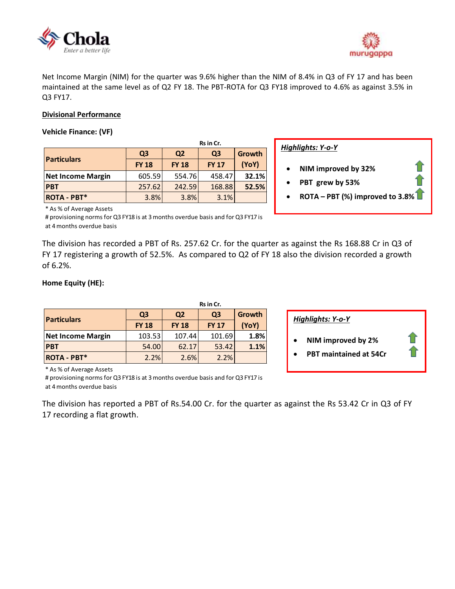



Net Income Margin (NIM) for the quarter was 9.6% higher than the NIM of 8.4% in Q3 of FY 17 and has been maintained at the same level as of Q2 FY 18. The PBT-ROTA for Q3 FY18 improved to 4.6% as against 3.5% in Q3 FY17.

#### **Divisional Performance**

#### **Vehicle Finance: (VF)**

|                          | Rs in Cr.                        |              |                |        |  |  |  |
|--------------------------|----------------------------------|--------------|----------------|--------|--|--|--|
| <b>Particulars</b>       | Q <sub>3</sub><br>Q <sub>2</sub> |              | Q <sub>3</sub> | Growth |  |  |  |
|                          | <b>FY 18</b>                     | <b>FY 18</b> | <b>FY 17</b>   | (YoY)  |  |  |  |
| <b>Net Income Margin</b> | 605.59                           | 554.76       | 458.47         | 32.1%  |  |  |  |
| <b>PBT</b>               | 257.62                           | 242.59       | 168.88         | 52.5%  |  |  |  |
| <b>ROTA - PBT*</b>       | 3.8%                             | 3.8%         | 3.1%           |        |  |  |  |

*Highlights: Y-o-Y*

- **NIM improved by 32%**
- **PBT grew by 53%**
- **ROTA – PBT (%) improved to 3.8%**

\* As % of Average Assets

# provisioning norms for Q3 FY18 is at 3 months overdue basis and for Q3 FY17 is at 4 months overdue basis

The division has recorded a PBT of Rs. 257.62 Cr. for the quarter as against the Rs 168.88 Cr in Q3 of FY 17 registering a growth of 52.5%. As compared to Q2 of FY 18 also the division recorded a growth of 6.2%.

### **Home Equity (HE):**

|                          | Rs in Cr.      |                |                |        |  |  |
|--------------------------|----------------|----------------|----------------|--------|--|--|
| <b>Particulars</b>       | Q <sub>3</sub> | Q <sub>2</sub> | Q <sub>3</sub> | Growth |  |  |
|                          | <b>FY 18</b>   | <b>FY 18</b>   | <b>FY 17</b>   | (YoY)  |  |  |
| <b>Net Income Margin</b> | 103.53         | 107.44         | 101.69         | 1.8%   |  |  |
| <b>PBT</b>               | 54.00          | 62.17          | 53.42          | 1.1%   |  |  |
| <b>ROTA - PBT*</b>       | 2.2%           | 2.6%           | 2.2%           |        |  |  |

#### *Highlights: Y-o-Y*

- **NIM improved by 2%**
- **PBT maintained at 54Cr**

\* As % of Average Assets

# provisioning norms for Q3 FY18 is at 3 months overdue basis and for Q3 FY17 is at 4 months overdue basis

The division has reported a PBT of Rs.54.00 Cr. for the quarter as against the Rs 53.42 Cr in Q3 of FY 17 recording a flat growth.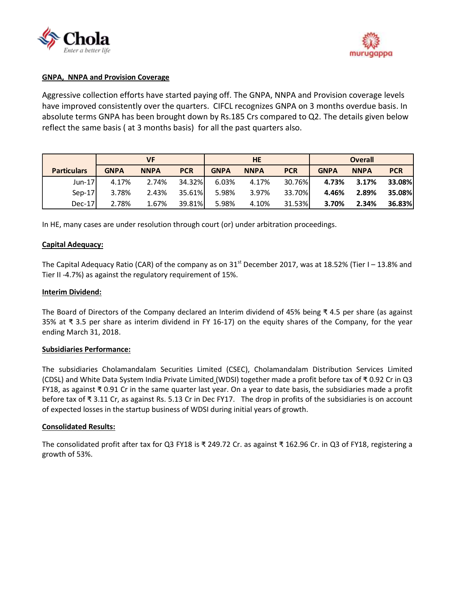



#### **GNPA, NNPA and Provision Coverage**

Aggressive collection efforts have started paying off. The GNPA, NNPA and Provision coverage levels have improved consistently over the quarters. CIFCL recognizes GNPA on 3 months overdue basis. In absolute terms GNPA has been brought down by Rs.185 Crs compared to Q2. The details given below reflect the same basis ( at 3 months basis) for all the past quarters also.

|                    | VF          |             |            | <b>HE</b>   |             |            | <b>Overall</b> |             |            |
|--------------------|-------------|-------------|------------|-------------|-------------|------------|----------------|-------------|------------|
| <b>Particulars</b> | <b>GNPA</b> | <b>NNPA</b> | <b>PCR</b> | <b>GNPA</b> | <b>NNPA</b> | <b>PCR</b> | <b>GNPA</b>    | <b>NNPA</b> | <b>PCR</b> |
| $Jun-17$           | 4.17%       | 2.74%       | 34.32%     | 6.03%       | 4.17%       | 30.76%     | 4.73%          | 3.17%       | 33.08%     |
| $Sep-17$           | 3.78%       | 2.43%       | 35.61%     | 5.98%       | 3.97%       | 33.70%     | 4.46%          | 2.89%       | 35.08%     |
| $Dec-17$           | 2.78%       | 1.67%       | 39.81%     | 5.98%       | 4.10%       | 31.53%     | 3.70%          | 2.34%       | 36.83%     |

In HE, many cases are under resolution through court (or) under arbitration proceedings.

#### **Capital Adequacy:**

The Capital Adequacy Ratio (CAR) of the company as on  $31<sup>st</sup>$  December 2017, was at 18.52% (Tier I – 13.8% and Tier II -4.7%) as against the regulatory requirement of 15%.

#### **Interim Dividend:**

The Board of Directors of the Company declared an Interim dividend of 45% being ₹ 4.5 per share (as against 35% at ₹ 3.5 per share as interim dividend in FY 16-17) on the equity shares of the Company, for the year ending March 31, 2018.

#### **Subsidiaries Performance:**

The subsidiaries [Cholamandalam Securities Limited](http://www.cholawealthdirect.com/) (CSEC), [Cholamandalam Distribution Services Limited](http://www.cholawealthdirect.com/) (CDSL) and White Data System India Private Limited (WDSI) together made a profit before tax of ₹ 0.92 Cr in Q3 FY18, as against ₹ 0.91 Cr in the same quarter last year. On a year to date basis, the subsidiaries made a profit before tax of ₹ 3.11 Cr, as against Rs. 5.13 Cr in Dec FY17. The drop in profits of the subsidiaries is on account of expected losses in the startup business of WDSI during initial years of growth.

#### **Consolidated Results:**

The consolidated profit after tax for Q3 FY18 is ₹ 249.72 Cr. as against ₹ 162.96 Cr. in Q3 of FY18, registering a growth of 53%.